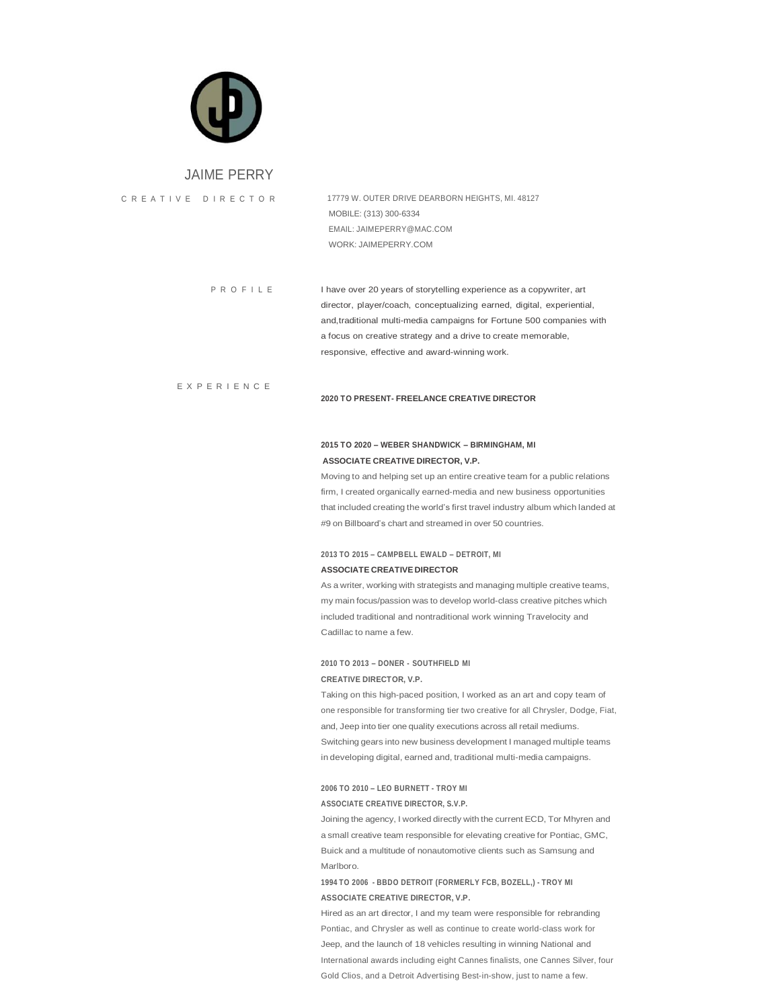

### JAIME PERRY

E X P E R I E N C E

C R E A T I V E D I R E C T O R 17779 W. OUTER DRIVE DEARBORN HEIGHTS, MI. 48127 MOBILE: (313) 300-6334 EMAIL: [JAIMEPERRY@MAC.COM](mailto:JAIMEPERRY@MAC.COM) WORK: JAIMEPERRY.COM

> P R O F I L E I have over 20 years of storytelling experience as a copywriter, art director, player/coach, conceptualizing earned, digital, experiential, and,traditional multi-media campaigns for Fortune 500 companies with a focus on creative strategy and a drive to create memorable, responsive, effective and award-winning work.

#### **2020 TO PRESENT- FREELANCE CREATIVE DIRECTOR**

# **2015 TO 2020 – WEBER SHANDWICK – BIRMINGHAM, MI ASSOCIATE CREATIVE DIRECTOR, V.P.**

Moving to and helping set up an entire creative team for a public relations firm, I created organically earned-media and new business opportunities that included creating the world's first travel industry album which landed at #9 on Billboard's chart and streamed in over 50 countries.

### **2013 TO 2015 – CAMPBELL EWALD – DETROIT, MI ASSOCIATE CREATIVE DIRECTOR**

As a writer, working with strategists and managing multiple creative teams, my main focus/passion was to develop world-class creative pitches which included traditional and nontraditional work winning Travelocity and Cadillac to name a few.

# **2010 TO 2013 – DONER - SOUTHFIELD MI CREATIVE DIRECTOR, V.P.**

Taking on this high-paced position, I worked as an art and copy team of one responsible for transforming tier two creative for all Chrysler, Dodge, Fiat, and, Jeep into tier one quality executions across all retail mediums. Switching gears into new business development I managed multiple teams in developing digital, earned and, traditional multi-media campaigns.

# **2006 TO 2010 – LEO BURNETT - TROY MI ASSOCIATE CREATIVE DIRECTOR, S.V.P.**

Joining the agency, I worked directly with the current ECD, Tor Mhyren and a small creative team responsible for elevating creative for Pontiac, GMC, Buick and a multitude of nonautomotive clients such as Samsung and Marlboro.

# **1994 TO 2006 - BBDO DETROIT (FORMERLY FCB, BOZELL,) - TROY MI ASSOCIATE CREATIVE DIRECTOR, V.P.**

Hired as an art director, I and my team were responsible for rebranding Pontiac, and Chrysler as well as continue to create world-class work for Jeep, and the launch of 18 vehicles resulting in winning National and International awards including eight Cannes finalists, one Cannes Silver, four Gold Clios, and a Detroit Advertising Best-in-show, just to name a few.